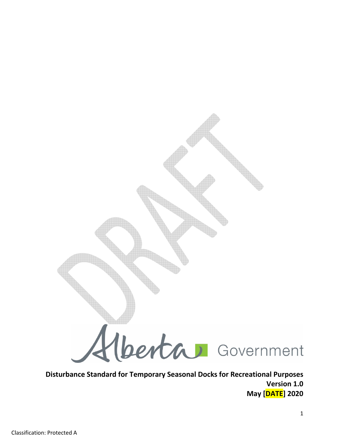

Disturbance Standard for Temporary Seasonal Docks for Recreational Purposes Version 1.0 May [DATE] 2020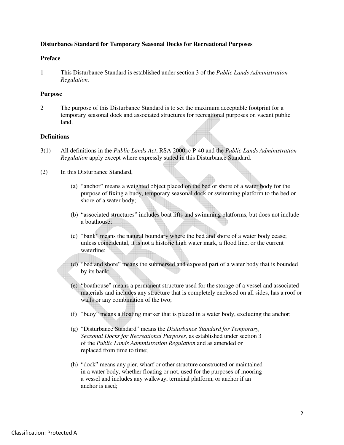### **Disturbance Standard for Temporary Seasonal Docks for Recreational Purposes**

#### **Preface**

1 This Disturbance Standard is established under section 3 of the *Public Lands Administration Regulation.*

#### **Purpose**

2 The purpose of this Disturbance Standard is to set the maximum acceptable footprint for a temporary seasonal dock and associated structures for recreational purposes on vacant public land.

### **Definitions**

- 3(1) All definitions in the *Public Lands Act*, RSA 2000, c P-40 and the *Public Lands Administration Regulation* apply except where expressly stated in this Disturbance Standard.
- (2) In this Disturbance Standard,
	- (a) "anchor" means a weighted object placed on the bed or shore of a water body for the purpose of fixing a buoy, temporary seasonal dock or swimming platform to the bed or shore of a water body;
	- (b) "associated structures" includes boat lifts and swimming platforms, but does not include a boathouse;
	- (c) "bank" means the natural boundary where the bed and shore of a water body cease; unless coincidental, it is not a historic high water mark, a flood line, or the current waterline;
	- (d) "bed and shore" means the submersed and exposed part of a water body that is bounded by its bank;
	- (e) "boathouse" means a permanent structure used for the storage of a vessel and associated materials and includes any structure that is completely enclosed on all sides, has a roof or walls or any combination of the two;
	- (f) "buoy" means a floating marker that is placed in a water body, excluding the anchor;
	- (g) "Disturbance Standard" means the *Disturbance Standard for Temporary, Seasonal Docks for Recreational Purposes,* as established under section 3 of the *Public Lands Administration Regulation* and as amended or replaced from time to time;
	- (h) "dock" means any pier, wharf or other structure constructed or maintained in a water body, whether floating or not, used for the purposes of mooring a vessel and includes any walkway, terminal platform, or anchor if an anchor is used;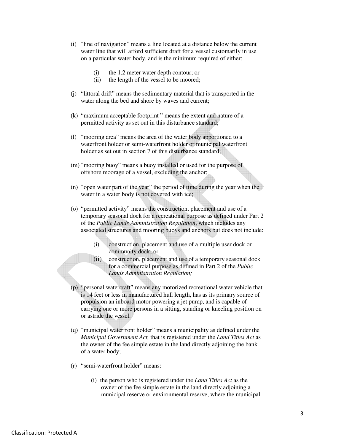- (i) "line of navigation" means a line located at a distance below the current water line that will afford sufficient draft for a vessel customarily in use on a particular water body, and is the minimum required of either:
	- (i) the 1.2 meter water depth contour; or
	- (ii) the length of the vessel to be moored;
- (j) "littoral drift" means the sedimentary material that is transported in the water along the bed and shore by waves and current;
- (k) "maximum acceptable footprint " means the extent and nature of a permitted activity as set out in this disturbance standard;
- (l) "mooring area" means the area of the water body apportioned to a waterfront holder or semi-waterfront holder or municipal waterfront holder as set out in section 7 of this disturbance standard;
- (m) "mooring buoy" means a buoy installed or used for the purpose of offshore moorage of a vessel, excluding the anchor;
- (n) "open water part of the year" the period of time during the year when the water in a water body is not covered with ice;
- (o) "permitted activity" means the construction, placement and use of a temporary seasonal dock for a recreational purpose as defined under Part 2 of the *Public Lands Administration Regulation*, which includes any associated structures and mooring buoys and anchors but does not include:
	- (i) construction, placement and use of a multiple user dock or community dock; or
	- (ii) construction, placement and use of a temporary seasonal dock for a commercial purpose as defined in Part 2 of the *Public Lands Administration Regulation;*
- (p) "personal watercraft" means any motorized recreational water vehicle that is 14 feet or less in manufactured hull length, has as its primary source of propulsion an inboard motor powering a jet pump, and is capable of carrying one or more persons in a sitting, standing or kneeling position on or astride the vessel.
- (q) "municipal waterfront holder" means a municipality as defined under the *Municipal Government Act,* that is registered under the *Land Titles Act* as the owner of the fee simple estate in the land directly adjoining the bank of a water body;
- (r) "semi-waterfront holder" means:
	- (i) the person who is registered under the *Land Titles Act* as the owner of the fee simple estate in the land directly adjoining a municipal reserve or environmental reserve, where the municipal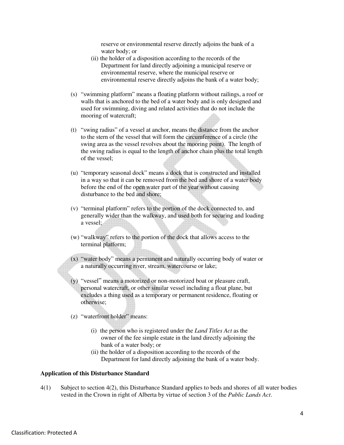reserve or environmental reserve directly adjoins the bank of a water body; or

- (ii) the holder of a disposition according to the records of the Department for land directly adjoining a municipal reserve or environmental reserve, where the municipal reserve or environmental reserve directly adjoins the bank of a water body;
- (s) "swimming platform" means a floating platform without railings, a roof or walls that is anchored to the bed of a water body and is only designed and used for swimming, diving and related activities that do not include the mooring of watercraft;
- (t) "swing radius" of a vessel at anchor, means the distance from the anchor to the stern of the vessel that will form the circumference of a circle (the swing area as the vessel revolves about the mooring point). The length of the swing radius is equal to the length of anchor chain plus the total length of the vessel;
- (u) "temporary seasonal dock" means a dock that is constructed and installed in a way so that it can be removed from the bed and shore of a water body before the end of the open water part of the year without causing disturbance to the bed and shore;
- (v) "terminal platform" refers to the portion of the dock connected to, and generally wider than the walkway, and used both for securing and loading a vessel;
- (w) "walkway" refers to the portion of the dock that allows access to the terminal platform;
- (x) "water body" means a permanent and naturally occurring body of water or a naturally occurring river, stream, watercourse or lake;
- (y) "vessel" means a motorized or non-motorized boat or pleasure craft, personal watercraft, or other similar vessel including a float plane, but excludes a thing used as a temporary or permanent residence, floating or otherwise;
- (z) "waterfront holder" means:
	- (i) the person who is registered under the *Land Titles Act* as the owner of the fee simple estate in the land directly adjoining the bank of a water body; or
	- (ii) the holder of a disposition according to the records of the Department for land directly adjoining the bank of a water body.

#### **Application of this Disturbance Standard**

4(1) Subject to section 4(2), this Disturbance Standard applies to beds and shores of all water bodies vested in the Crown in right of Alberta by virtue of section 3 of the *Public Lands Act*.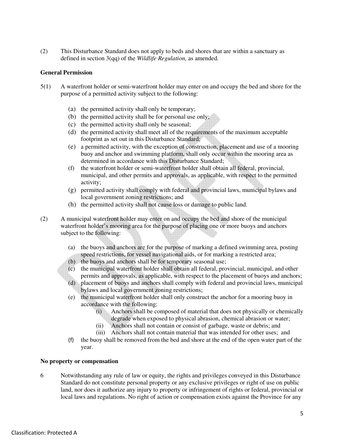(2) This Disturbance Standard does not apply to beds and shores that are within a sanctuary as defined in section 3(qq) of the *Wildlife Regulation,* as amended*.* 

### **General Permission**

- 5(1) A waterfront holder or semi-waterfront holder may enter on and occupy the bed and shore for the purpose of a permitted activity subject to the following:
	- (a) the permitted activity shall only be temporary;
	- (b) the permitted activity shall be for personal use only;
	- (c) the permitted activity shall only be seasonal;
	- (d) the permitted activity shall meet all of the requirements of the maximum acceptable footprint as set out in this Disturbance Standard;
	- (e) a permitted activity, with the exception of construction, placement and use of a mooring buoy and anchor and swimming platform, shall only occur within the mooring area as determined in accordance with this Disturbance Standard;
	- (f) the waterfront holder or semi-waterfront holder shall obtain all federal, provincial, municipal, and other permits and approvals, as applicable, with respect to the permitted activity;
	- (g) permitted activity shall comply with federal and provincial laws, municipal bylaws and local government zoning restrictions; and
	- (h) the permitted activity shall not cause loss or damage to public land.
- (2) A municipal waterfront holder may enter on and occupy the bed and shore of the municipal waterfront holder's mooring area for the purpose of placing one or more buoys and anchors subject to the following:
	- (a) the buoys and anchors are for the purpose of marking a defined swimming area, posting speed restrictions, for vessel navigational aids, or for marking a restricted area;
	- (b) the buoys and anchors shall be for temporary seasonal use;
	- (c) the municipal waterfront holder shall obtain all federal, provincial, municipal, and other permits and approvals, as applicable, with respect to the placement of buoys and anchors;
	- (d) placement of buoys and anchors shall comply with federal and provincial laws, municipal bylaws and local government zoning restrictions;
	- (e) the municipal waterfront holder shall only construct the anchor for a mooring buoy in accordance with the following:
		- (i) Anchors shall be composed of material that does not physically or chemically degrade when exposed to physical abrasion, chemical abrasion or water;
		- (ii) Anchors shall not contain or consist of garbage, waste or debris; and
		- (iii) Anchors shall not contain material that was intended for other uses; and
	- (f) the buoy shall be removed from the bed and shore at the end of the open water part of the year.

## **No property or compensation**

6 Notwithstanding any rule of law or equity, the rights and privileges conveyed in this Disturbance Standard do not constitute personal property or any exclusive privileges or right of use on public land, nor does it authorize any injury to property or infringement of rights or federal, provincial or local laws and regulations. No right of action or compensation exists against the Province for any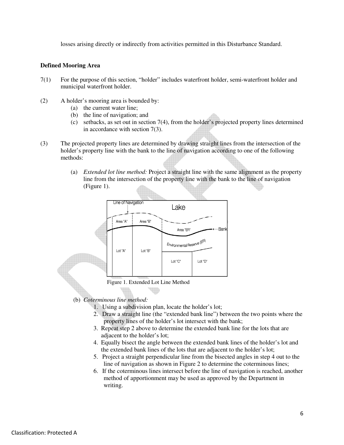losses arising directly or indirectly from activities permitted in this Disturbance Standard.

## **Defined Mooring Area**

- 7(1) For the purpose of this section, "holder" includes waterfront holder, semi-waterfront holder and municipal waterfront holder.
- (2) A holder's mooring area is bounded by:
	- (a) the current water line;
	- (b) the line of navigation; and
	- (c) setbacks, as set out in section 7(4), from the holder's projected property lines determined in accordance with section 7(3).
- (3) The projected property lines are determined by drawing straight lines from the intersection of the holder's property line with the bank to the line of navigation according to one of the following methods:
	- (a) *Extended lot line method:* Project a straight line with the same alignment as the property line from the intersection of the property line with the bank to the line of navigation (Figure 1).



Figure 1. Extended Lot Line Method

(b) *Coterminous line method:*

- 1. Using a subdivision plan, locate the holder's lot;
- 2. Draw a straight line (the "extended bank line") between the two points where the property lines of the holder's lot intersect with the bank;
- 3. Repeat step 2 above to determine the extended bank line for the lots that are adjacent to the holder's lot;
- 4. Equally bisect the angle between the extended bank lines of the holder's lot and the extended bank lines of the lots that are adjacent to the holder's lot;
- 5. Project a straight perpendicular line from the bisected angles in step 4 out to the line of navigation as shown in Figure 2 to determine the coterminous lines;
- 6. If the coterminous lines intersect before the line of navigation is reached, another method of apportionment may be used as approved by the Department in writing.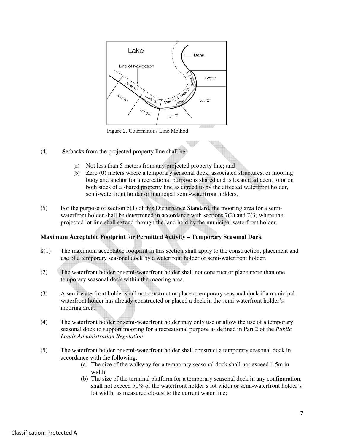

Figure 2. Coterminous Line Method

- (4) **S**etbacks from the projected property line shall be:
	- (a) Not less than 5 meters from any projected property line; and
	- (b) Zero (0) meters where a temporary seasonal dock, associated structures, or mooring buoy and anchor for a recreational purpose is shared and is located adjacent to or on both sides of a shared property line as agreed to by the affected waterfront holder, semi-waterfront holder or municipal semi-waterfront holders.
- (5) For the purpose of section  $5(1)$  of this Disturbance Standard, the mooring area for a semiwaterfront holder shall be determined in accordance with sections  $7(2)$  and  $7(3)$  where the projected lot line shall extend through the land held by the municipal waterfront holder.

## **Maximum Acceptable Footprint for Permitted Activity – Temporary Seasonal Dock**

- 8(1) The maximum acceptable footprint in this section shall apply to the construction, placement and use of a temporary seasonal dock by a waterfront holder or semi-waterfront holder.
- (2) The waterfront holder or semi-waterfront holder shall not construct or place more than one temporary seasonal dock within the mooring area.
- (3) A semi-waterfront holder shall not construct or place a temporary seasonal dock if a municipal waterfront holder has already constructed or placed a dock in the semi-waterfront holder's mooring area.
- (4) The waterfront holder or semi-waterfront holder may only use or allow the use of a temporary seasonal dock to support mooring for a recreational purpose as defined in Part 2 of the *Public Lands Administration Regulation.*
- (5) The waterfront holder or semi-waterfront holder shall construct a temporary seasonal dock in accordance with the following:
	- (a) The size of the walkway for a temporary seasonal dock shall not exceed 1.5m in width;
	- (b) The size of the terminal platform for a temporary seasonal dock in any configuration, shall not exceed 50% of the waterfront holder's lot width or semi-waterfront holder's lot width, as measured closest to the current water line;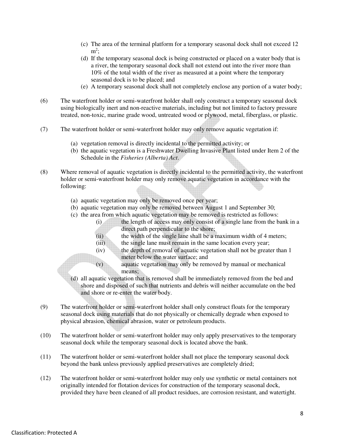- (c) The area of the terminal platform for a temporary seasonal dock shall not exceed 12  $m^2$ ;
- (d) If the temporary seasonal dock is being constructed or placed on a water body that is a river, the temporary seasonal dock shall not extend out into the river more than 10% of the total width of the river as measured at a point where the temporary seasonal dock is to be placed; and
- (e) A temporary seasonal dock shall not completely enclose any portion of a water body;
- (6) The waterfront holder or semi-waterfront holder shall only construct a temporary seasonal dock using biologically inert and non-reactive materials, including but not limited to factory pressure treated, non-toxic, marine grade wood, untreated wood or plywood, metal, fiberglass, or plastic.
- (7) The waterfront holder or semi-waterfront holder may only remove aquatic vegetation if:
	- (a) vegetation removal is directly incidental to the permitted activity; or
	- (b) the aquatic vegetation is a Freshwater Dwelling Invasive Plant listed under Item 2 of the Schedule in the *Fisheries (Alberta) Act*.
- (8) Where removal of aquatic vegetation is directly incidental to the permitted activity, the waterfront holder or semi-waterfront holder may only remove aquatic vegetation in accordance with the following:
	- (a) aquatic vegetation may only be removed once per year;
	- (b) aquatic vegetation may only be removed between August 1 and September 30;
	- (c) the area from which aquatic vegetation may be removed is restricted as follows:
		- (i) the length of access may only consist of a single lane from the bank in a direct path perpendicular to the shore;
		- (ii) the width of the single lane shall be a maximum width of 4 meters;
		- (iii) the single lane must remain in the same location every year;
		- (iv) the depth of removal of aquatic vegetation shall not be greater than 1 meter below the water surface; and
		- (v) aquatic vegetation may only be removed by manual or mechanical means;
	- (d) all aquatic vegetation that is removed shall be immediately removed from the bed and shore and disposed of such that nutrients and debris will neither accumulate on the bed and shore or re-enter the water body.
- (9) The waterfront holder or semi-waterfront holder shall only construct floats for the temporary seasonal dock using materials that do not physically or chemically degrade when exposed to physical abrasion, chemical abrasion, water or petroleum products.
- (10) The waterfront holder or semi-waterfront holder may only apply preservatives to the temporary seasonal dock while the temporary seasonal dock is located above the bank.
- (11) The waterfront holder or semi-waterfront holder shall not place the temporary seasonal dock beyond the bank unless previously applied preservatives are completely dried;
- (12) The waterfront holder or semi-waterfront holder may only use synthetic or metal containers not originally intended for flotation devices for construction of the temporary seasonal dock, provided they have been cleaned of all product residues, are corrosion resistant, and watertight.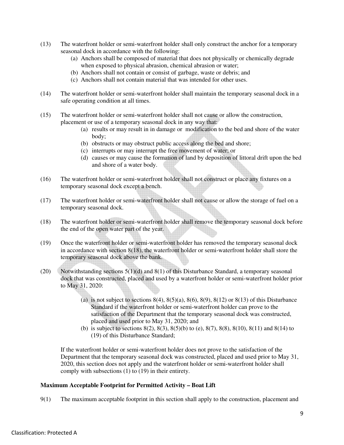- (13) The waterfront holder or semi-waterfront holder shall only construct the anchor for a temporary seasonal dock in accordance with the following:
	- (a) Anchors shall be composed of material that does not physically or chemically degrade when exposed to physical abrasion, chemical abrasion or water;
	- (b) Anchors shall not contain or consist of garbage, waste or debris; and
	- (c) Anchors shall not contain material that was intended for other uses.
- (14) The waterfront holder or semi-waterfront holder shall maintain the temporary seasonal dock in a safe operating condition at all times.
- (15) The waterfront holder or semi-waterfront holder shall not cause or allow the construction, placement or use of a temporary seasonal dock in any way that:
	- (a) results or may result in in damage or modification to the bed and shore of the water body;
	- (b) obstructs or may obstruct public access along the bed and shore;
	- (c) interrupts or may interrupt the free movement of water; or
	- (d) causes or may cause the formation of land by deposition of littoral drift upon the bed and shore of a water body.
- (16) The waterfront holder or semi-waterfront holder shall not construct or place any fixtures on a temporary seasonal dock except a bench.
- (17) The waterfront holder or semi-waterfront holder shall not cause or allow the storage of fuel on a temporary seasonal dock.
- (18) The waterfront holder or semi-waterfront holder shall remove the temporary seasonal dock before the end of the open water part of the year.
- (19) Once the waterfront holder or semi-waterfront holder has removed the temporary seasonal dock in accordance with section 8(18), the waterfront holder or semi-waterfront holder shall store the temporary seasonal dock above the bank.
- (20) Notwithstanding sections  $5(1)(d)$  and  $8(1)$  of this Disturbance Standard, a temporary seasonal dock that was constructed, placed and used by a waterfront holder or semi-waterfront holder prior to May 31, 2020:
	- (a) is not subject to sections  $8(4)$ ,  $8(5)(a)$ ,  $8(6)$ ,  $8(9)$ ,  $8(12)$  or  $8(13)$  of this Disturbance Standard if the waterfront holder or semi-waterfront holder can prove to the satisfaction of the Department that the temporary seasonal dock was constructed, placed and used prior to May 31, 2020; and
	- (b) is subject to sections  $8(2)$ ,  $8(3)$ ,  $8(5)(b)$  to (e),  $8(7)$ ,  $8(8)$ ,  $8(10)$ ,  $8(11)$  and  $8(14)$  to (19) of this Disturbance Standard;

If the waterfront holder or semi-waterfront holder does not prove to the satisfaction of the Department that the temporary seasonal dock was constructed, placed and used prior to May 31, 2020, this section does not apply and the waterfront holder or semi-waterfront holder shall comply with subsections  $(1)$  to  $(19)$  in their entirety.

## **Maximum Acceptable Footprint for Permitted Activity – Boat Lift**

9(1) The maximum acceptable footprint in this section shall apply to the construction, placement and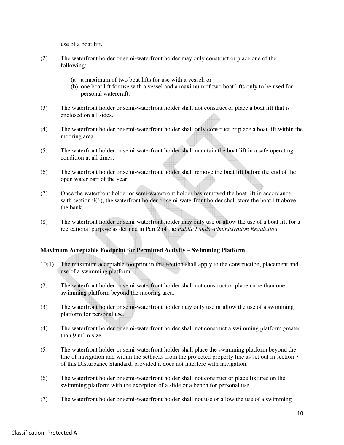use of a boat lift.

- (2) The waterfront holder or semi-waterfront holder may only construct or place one of the following:
	- (a) a maximum of two boat lifts for use with a vessel; or
	- (b) one boat lift for use with a vessel and a maximum of two boat lifts only to be used for personal watercraft.
- (3) The waterfront holder or semi-waterfront holder shall not construct or place a boat lift that is enclosed on all sides.
- (4) The waterfront holder or semi-waterfront holder shall only construct or place a boat lift within the mooring area.
- (5) The waterfront holder or semi-waterfront holder shall maintain the boat lift in a safe operating condition at all times.
- (6) The waterfront holder or semi-waterfront holder shall remove the boat lift before the end of the open water part of the year.
- (7) Once the waterfront holder or semi-waterfront holder has removed the boat lift in accordance with section 9(6), the waterfront holder or semi-waterfront holder shall store the boat lift above the bank.
- (8) The waterfront holder or semi-waterfront holder may only use or allow the use of a boat lift for a recreational purpose as defined in Part 2 of the *Public Lands Administration Regulation.*

## **Maximum Acceptable Footprint for Permitted Activity – Swimming Platform**

- 10(1) The maximum acceptable footprint in this section shall apply to the construction, placement and use of a swimming platform.
- (2) The waterfront holder or semi-waterfront holder shall not construct or place more than one swimming platform beyond the mooring area.
- (3) The waterfront holder or semi-waterfront holder may only use or allow the use of a swimming platform for personal use.
- (4) The waterfront holder or semi-waterfront holder shall not construct a swimming platform greater than  $9 \text{ m}^2$  in size.
- (5) The waterfront holder or semi-waterfront holder shall place the swimming platform beyond the line of navigation and within the setbacks from the projected property line as set out in section 7 of this Disturbance Standard, provided it does not interfere with navigation.
- (6) The waterfront holder or semi-waterfront holder shall not construct or place fixtures on the swimming platform with the exception of a slide or a bench for personal use.
- (7) The waterfront holder or semi-waterfront holder shall not use or allow the use of a swimming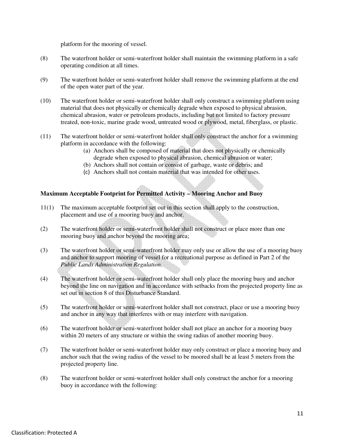platform for the mooring of vessel.

- (8) The waterfront holder or semi-waterfront holder shall maintain the swimming platform in a safe operating condition at all times.
- (9) The waterfront holder or semi-waterfront holder shall remove the swimming platform at the end of the open water part of the year.
- (10) The waterfront holder or semi-waterfront holder shall only construct a swimming platform using material that does not physically or chemically degrade when exposed to physical abrasion, chemical abrasion, water or petroleum products, including but not limited to factory pressure treated, non-toxic, marine grade wood, untreated wood or plywood, metal, fiberglass, or plastic.
- (11) The waterfront holder or semi-waterfront holder shall only construct the anchor for a swimming platform in accordance with the following:
	- (a) Anchors shall be composed of material that does not physically or chemically degrade when exposed to physical abrasion, chemical abrasion or water;
	- (b) Anchors shall not contain or consist of garbage, waste or debris; and
	- (c) Anchors shall not contain material that was intended for other uses.

## **Maximum Acceptable Footprint for Permitted Activity – Mooring Anchor and Buoy**

- 11(1) The maximum acceptable footprint set out in this section shall apply to the construction, placement and use of a mooring buoy and anchor.
- (2) The waterfront holder or semi-waterfront holder shall not construct or place more than one mooring buoy and anchor beyond the mooring area;
- (3) The waterfront holder or semi-waterfront holder may only use or allow the use of a mooring buoy and anchor to support mooring of vessel for a recreational purpose as defined in Part 2 of the *Public Lands Administration Regulation.*
- (4) The waterfront holder or semi-waterfront holder shall only place the mooring buoy and anchor beyond the line on navigation and in accordance with setbacks from the projected property line as set out in section 8 of this Disturbance Standard.
- (5) The waterfront holder or semi-waterfront holder shall not construct, place or use a mooring buoy and anchor in any way that interferes with or may interfere with navigation.
- (6) The waterfront holder or semi-waterfront holder shall not place an anchor for a mooring buoy within 20 meters of any structure or within the swing radius of another mooring buoy.
- (7) The waterfront holder or semi-waterfront holder may only construct or place a mooring buoy and anchor such that the swing radius of the vessel to be moored shall be at least 5 meters from the projected property line.
- (8) The waterfront holder or semi-waterfront holder shall only construct the anchor for a mooring buoy in accordance with the following: